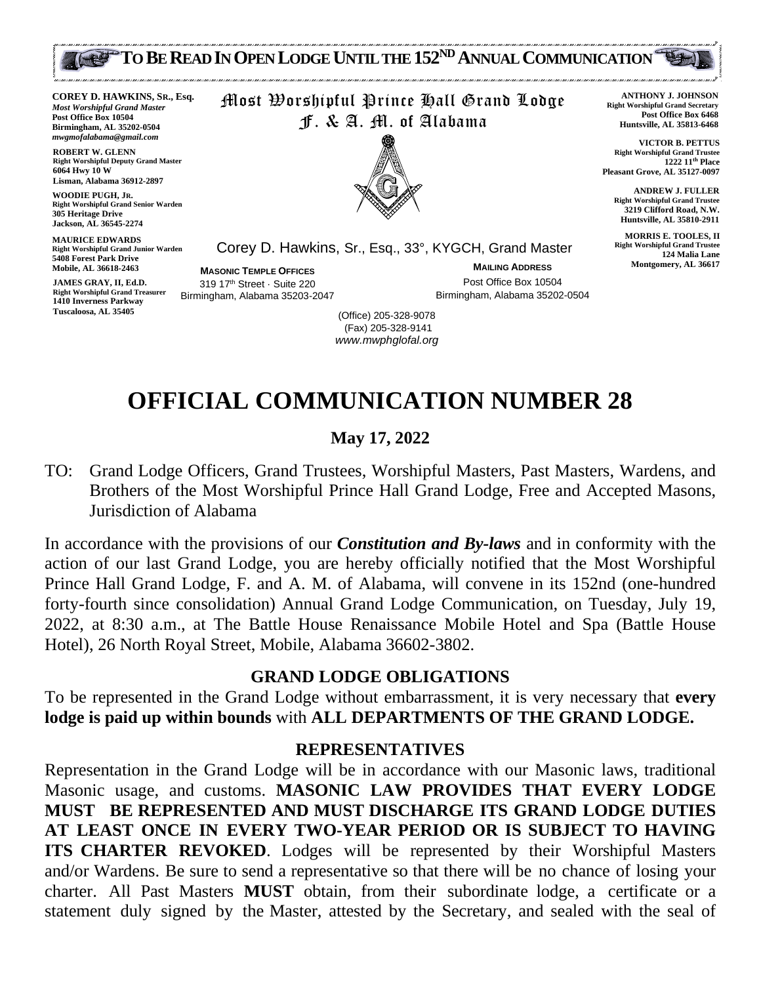

**COREY D. HAWKINS, SR., Esq.** *Most Worshipful Grand Master* **Post Office Box 10504 Birmingham, AL 35202-0504** *mwgmofalabama@gmail.com*

**ROBERT W. GLENN Right Worshipful Deputy Grand Master 6064 Hwy 10 W Lisman, Alabama 36912-2897**

**WOODIE PUGH, JR. Right Worshipful Grand Senior Warden 305 Heritage Drive Jackson, AL 36545-2274**

**MAURICE EDWARDS Right Worshipful Grand Junior Warden 5408 Forest Park Drive Mobile, AL 36618-2463**

**JAMES GRAY, II, Ed.D. Right Worshipful Grand Treasurer 1410 Inverness Parkway Tuscaloosa, AL 35405**

Most Worshipful Prince Hall Grand Lodge F. & A. M. of Alabama



Corey D. Hawkins, Sr., Esq., 33°, KYGCH, Grand Master

**MASONIC TEMPLE OFFICES** 319 17th Street · Suite 220 Birmingham, Alabama 35203-2047

**MAILING ADDRESS** Post Office Box 10504 Birmingham, Alabama 35202-0504

**ANTHONY J. JOHNSON Right Worshipful Grand Secretary Post Office Box 6468 Huntsville, AL 35813-6468**

**VICTOR B. PETTUS Right Worshipful Grand Trustee 1222 11th Place Pleasant Grove, AL 35127-0097**

> **ANDREW J. FULLER Right Worshipful Grand Trustee 3219 Clifford Road, N.W. Huntsville, AL 35810-2911**

**MORRIS E. TOOLES, II Right Worshipful Grand Trustee 124 Malia Lane Montgomery, AL 36617**

(Office) 205-328-9078 (Fax) 205-328-9141 *www.mwphglofal.org*

# **OFFICIAL COMMUNICATION NUMBER 28**

#### **May 17, 2022**

TO: Grand Lodge Officers, Grand Trustees, Worshipful Masters, Past Masters, Wardens, and Brothers of the Most Worshipful Prince Hall Grand Lodge, Free and Accepted Masons, Jurisdiction of Alabama

In accordance with the provisions of our *Constitution and By-laws* and in conformity with the action of our last Grand Lodge, you are hereby officially notified that the Most Worshipful Prince Hall Grand Lodge, F. and A. M. of Alabama, will convene in its 152nd (one-hundred forty-fourth since consolidation) Annual Grand Lodge Communication, on Tuesday, July 19, 2022, at 8:30 a.m., at The Battle House Renaissance Mobile Hotel and Spa (Battle House Hotel), 26 North Royal Street, Mobile, Alabama 36602-3802.

#### **GRAND LODGE OBLIGATIONS**

To be represented in the Grand Lodge without embarrassment, it is very necessary that **every lodge is paid up within bounds** with **ALL DEPARTMENTS OF THE GRAND LODGE.**

#### **REPRESENTATIVES**

Representation in the Grand Lodge will be in accordance with our Masonic laws, traditional Masonic usage, and customs. **MASONIC LAW PROVIDES THAT EVERY LODGE MUST BE REPRESENTED AND MUST DISCHARGE ITS GRAND LODGE DUTIES AT LEAST ONCE IN EVERY TWO-YEAR PERIOD OR IS SUBJECT TO HAVING ITS CHARTER REVOKED**. Lodges will be represented by their Worshipful Masters and/or Wardens. Be sure to send a representative so that there will be no chance of losing your charter. All Past Masters **MUST** obtain, from their subordinate lodge, a certificate or a statement duly signed by the Master, attested by the Secretary, and sealed with the seal of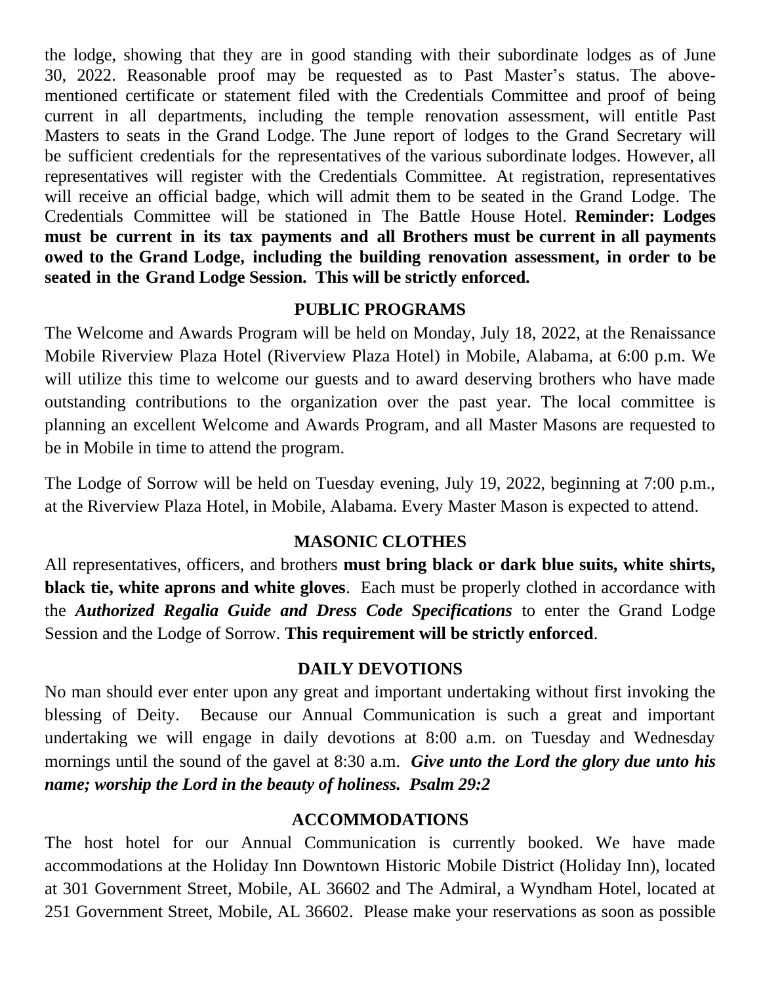the lodge, showing that they are in good standing with their subordinate lodges as of June 30, 2022. Reasonable proof may be requested as to Past Master's status. The abovementioned certificate or statement filed with the Credentials Committee and proof of being current in all departments, including the temple renovation assessment, will entitle Past Masters to seats in the Grand Lodge. The June report of lodges to the Grand Secretary will be sufficient credentials for the representatives of the various subordinate lodges. However, all representatives will register with the Credentials Committee. At registration, representatives will receive an official badge, which will admit them to be seated in the Grand Lodge. The Credentials Committee will be stationed in The Battle House Hotel. **Reminder: Lodges must be current in its tax payments and all Brothers must be current in all payments owed to the Grand Lodge, including the building renovation assessment, in order to be seated in the Grand Lodge Session. This will be strictly enforced.**

### **PUBLIC PROGRAMS**

The Welcome and Awards Program will be held on Monday, July 18, 2022, at the Renaissance Mobile Riverview Plaza Hotel (Riverview Plaza Hotel) in Mobile, Alabama, at 6:00 p.m. We will utilize this time to welcome our guests and to award deserving brothers who have made outstanding contributions to the organization over the past year. The local committee is planning an excellent Welcome and Awards Program, and all Master Masons are requested to be in Mobile in time to attend the program.

The Lodge of Sorrow will be held on Tuesday evening, July 19, 2022, beginning at 7:00 p.m., at the Riverview Plaza Hotel, in Mobile, Alabama. Every Master Mason is expected to attend.

### **MASONIC CLOTHES**

All representatives, officers, and brothers **must bring black or dark blue suits, white shirts, black tie, white aprons and white gloves**. Each must be properly clothed in accordance with the *Authorized Regalia Guide and Dress Code Specifications* to enter the Grand Lodge Session and the Lodge of Sorrow. **This requirement will be strictly enforced**.

### **DAILY DEVOTIONS**

No man should ever enter upon any great and important undertaking without first invoking the blessing of Deity. Because our Annual Communication is such a great and important undertaking we will engage in daily devotions at 8:00 a.m. on Tuesday and Wednesday mornings until the sound of the gavel at 8:30 a.m. *Give unto the Lord the glory due unto his name; worship the Lord in the beauty of holiness. Psalm 29:2*

### **ACCOMMODATIONS**

The host hotel for our Annual Communication is currently booked. We have made accommodations at the Holiday Inn Downtown Historic Mobile District (Holiday Inn), located at 301 Government Street, Mobile, AL 36602 and The Admiral, a Wyndham Hotel, located at 251 Government Street, Mobile, AL 36602. Please make your reservations as soon as possible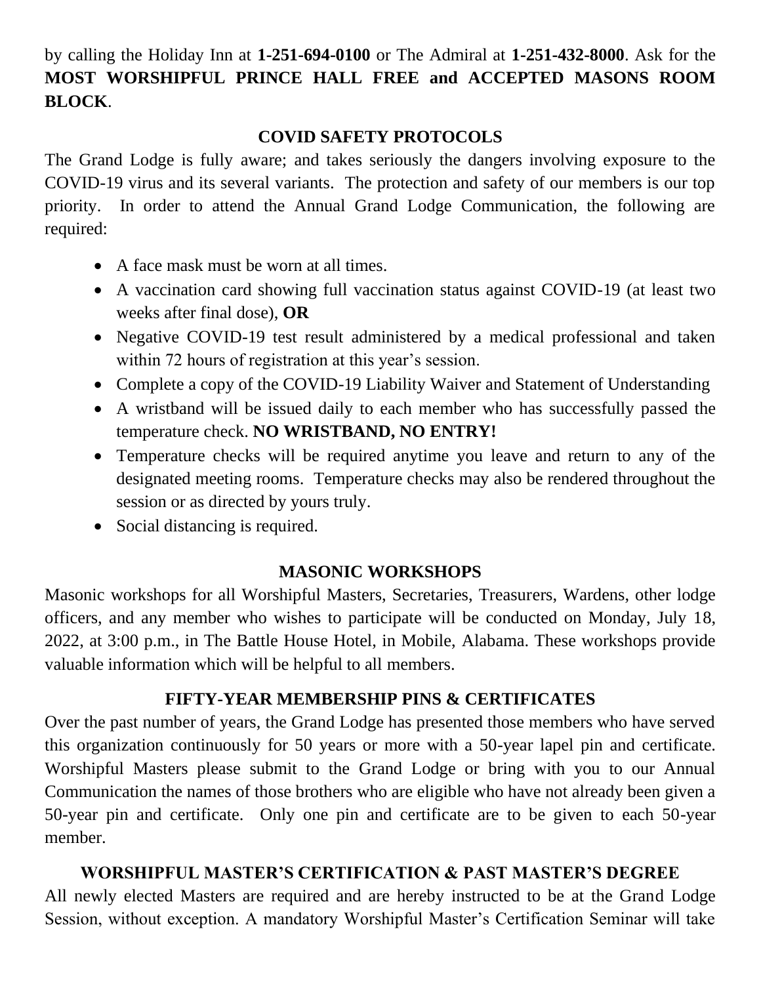by calling the Holiday Inn at **1-251-694-0100** or The Admiral at **1-251-432-8000**. Ask for the **MOST WORSHIPFUL PRINCE HALL FREE and ACCEPTED MASONS ROOM BLOCK**.

### **COVID SAFETY PROTOCOLS**

The Grand Lodge is fully aware; and takes seriously the dangers involving exposure to the COVID-19 virus and its several variants. The protection and safety of our members is our top priority. In order to attend the Annual Grand Lodge Communication, the following are required:

- A face mask must be worn at all times.
- A vaccination card showing full vaccination status against COVID-19 (at least two weeks after final dose), **OR**
- Negative COVID-19 test result administered by a medical professional and taken within 72 hours of registration at this year's session.
- Complete a copy of the COVID-19 Liability Waiver and Statement of Understanding
- A wristband will be issued daily to each member who has successfully passed the temperature check. **NO WRISTBAND, NO ENTRY!**
- Temperature checks will be required anytime you leave and return to any of the designated meeting rooms.Temperature checks may also be rendered throughout the session or as directed by yours truly.
- Social distancing is required.

# **MASONIC WORKSHOPS**

Masonic workshops for all Worshipful Masters, Secretaries, Treasurers, Wardens, other lodge officers, and any member who wishes to participate will be conducted on Monday, July 18, 2022, at 3:00 p.m., in The Battle House Hotel, in Mobile, Alabama. These workshops provide valuable information which will be helpful to all members.

# **FIFTY-YEAR MEMBERSHIP PINS & CERTIFICATES**

Over the past number of years, the Grand Lodge has presented those members who have served this organization continuously for 50 years or more with a 50-year lapel pin and certificate. Worshipful Masters please submit to the Grand Lodge or bring with you to our Annual Communication the names of those brothers who are eligible who have not already been given a 50-year pin and certificate. Only one pin and certificate are to be given to each 50-year member.

# **WORSHIPFUL MASTER'S CERTIFICATION & PAST MASTER'S DEGREE**

All newly elected Masters are required and are hereby instructed to be at the Grand Lodge Session, without exception. A mandatory Worshipful Master's Certification Seminar will take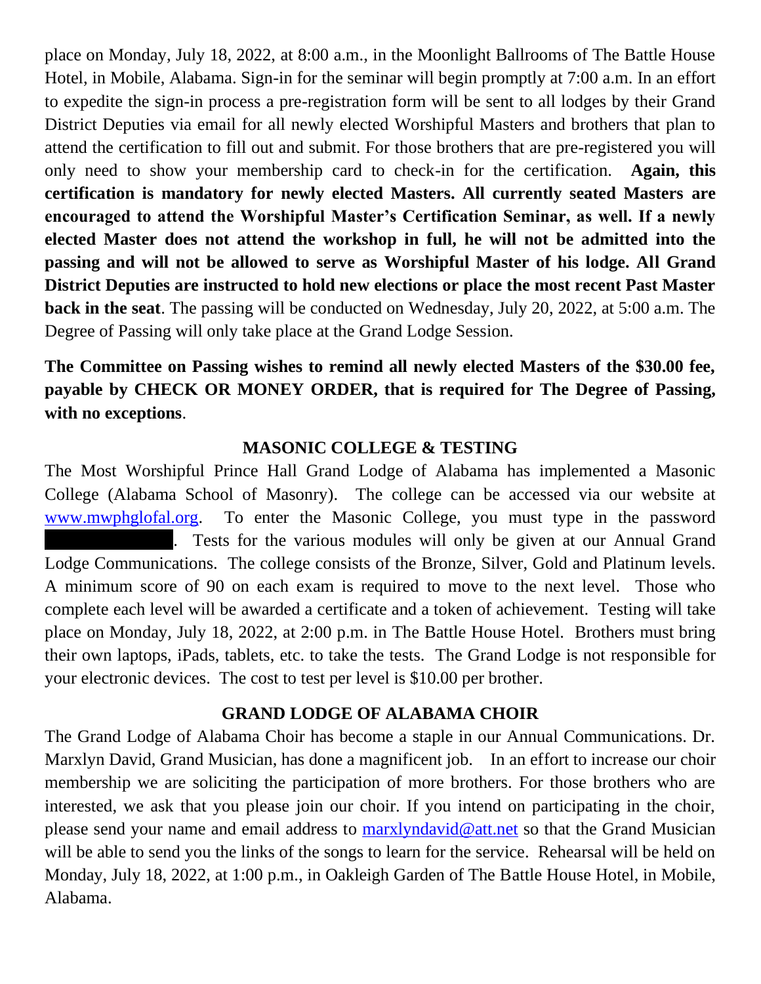place on Monday, July 18, 2022, at 8:00 a.m., in the Moonlight Ballrooms of The Battle House Hotel, in Mobile, Alabama. Sign-in for the seminar will begin promptly at 7:00 a.m. In an effort to expedite the sign-in process a pre-registration form will be sent to all lodges by their Grand District Deputies via email for all newly elected Worshipful Masters and brothers that plan to attend the certification to fill out and submit. For those brothers that are pre-registered you will only need to show your membership card to check-in for the certification. **Again, this certification is mandatory for newly elected Masters. All currently seated Masters are encouraged to attend the Worshipful Master's Certification Seminar, as well. If a newly elected Master does not attend the workshop in full, he will not be admitted into the passing and will not be allowed to serve as Worshipful Master of his lodge. All Grand District Deputies are instructed to hold new elections or place the most recent Past Master back in the seat**. The passing will be conducted on Wednesday, July 20, 2022, at 5:00 a.m. The Degree of Passing will only take place at the Grand Lodge Session.

**The Committee on Passing wishes to remind all newly elected Masters of the \$30.00 fee, payable by CHECK OR MONEY ORDER, that is required for The Degree of Passing, with no exceptions**.

### **MASONIC COLLEGE & TESTING**

The Most Worshipful Prince Hall Grand Lodge of Alabama has implemented a Masonic College (Alabama School of Masonry). The college can be accessed via our website at [www.mwphglofal.org.](www.mwphglofal.org) To enter the Masonic College, you must type in the password Tests for the various modules will only be given at our Annual Grand Lodge Communications. The college consists of the Bronze, Silver, Gold and Platinum levels. A minimum score of 90 on each exam is required to move to the next level. Those who complete each level will be awarded a certificate and a token of achievement. Testing will take place on Monday, July 18, 2022, at 2:00 p.m. in The Battle House Hotel. Brothers must bring their own laptops, iPads, tablets, etc. to take the tests. The Grand Lodge is not responsible for your electronic devices. The cost to test per level is \$10.00 per brother.

### **GRAND LODGE OF ALABAMA CHOIR**

The Grand Lodge of Alabama Choir has become a staple in our Annual Communications. Dr. Marxlyn David, Grand Musician, has done a magnificent job. In an effort to increase our choir membership we are soliciting the participation of more brothers. For those brothers who are interested, we ask that you please join our choir. If you intend on participating in the choir, please send your name and email address to [marxlyndavid@att.net](marxlyndavid@att.net%20) so that the Grand Musician will be able to send you the links of the songs to learn for the service. Rehearsal will be held on Monday, July 18, 2022, at 1:00 p.m., in Oakleigh Garden of The Battle House Hotel, in Mobile, Alabama.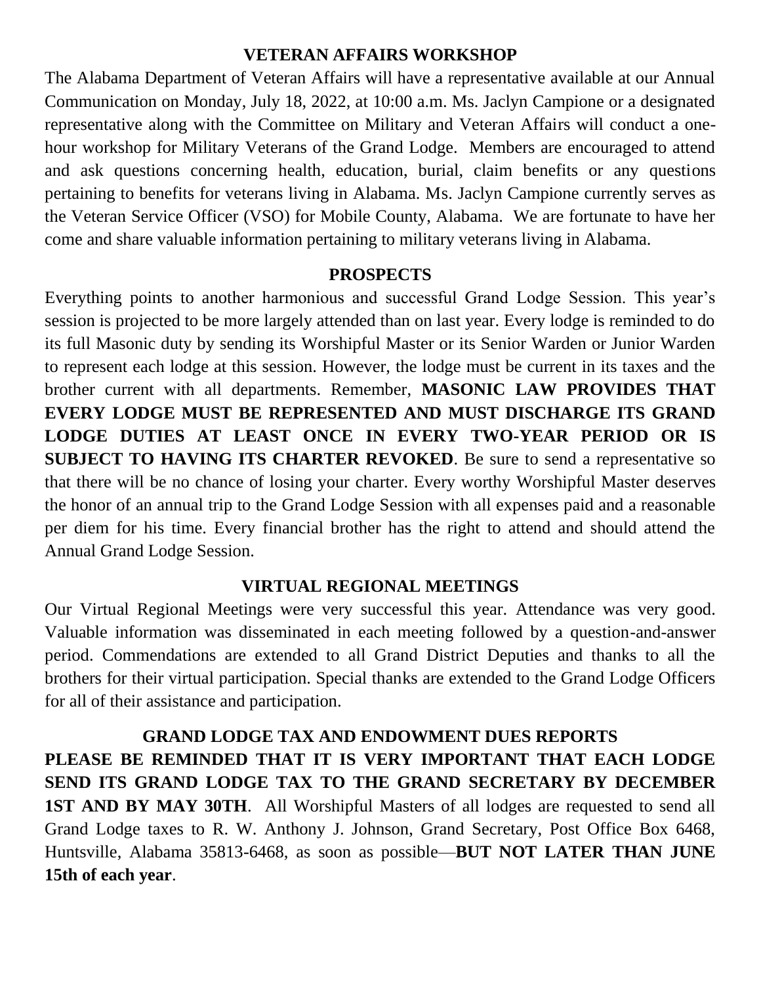#### **VETERAN AFFAIRS WORKSHOP**

The Alabama Department of Veteran Affairs will have a representative available at our Annual Communication on Monday, July 18, 2022, at 10:00 a.m. Ms. Jaclyn Campione or a designated representative along with the Committee on Military and Veteran Affairs will conduct a onehour workshop for Military Veterans of the Grand Lodge. Members are encouraged to attend and ask questions concerning health, education, burial, claim benefits or any questions pertaining to benefits for veterans living in Alabama. Ms. Jaclyn Campione currently serves as the Veteran Service Officer (VSO) for Mobile County, Alabama. We are fortunate to have her come and share valuable information pertaining to military veterans living in Alabama.

### **PROSPECTS**

Everything points to another harmonious and successful Grand Lodge Session. This year's session is projected to be more largely attended than on last year. Every lodge is reminded to do its full Masonic duty by sending its Worshipful Master or its Senior Warden or Junior Warden to represent each lodge at this session. However, the lodge must be current in its taxes and the brother current with all departments. Remember, **MASONIC LAW PROVIDES THAT EVERY LODGE MUST BE REPRESENTED AND MUST DISCHARGE ITS GRAND LODGE DUTIES AT LEAST ONCE IN EVERY TWO-YEAR PERIOD OR IS SUBJECT TO HAVING ITS CHARTER REVOKED**. Be sure to send a representative so that there will be no chance of losing your charter. Every worthy Worshipful Master deserves the honor of an annual trip to the Grand Lodge Session with all expenses paid and a reasonable per diem for his time. Every financial brother has the right to attend and should attend the Annual Grand Lodge Session.

### **VIRTUAL REGIONAL MEETINGS**

Our Virtual Regional Meetings were very successful this year. Attendance was very good. Valuable information was disseminated in each meeting followed by a question-and-answer period. Commendations are extended to all Grand District Deputies and thanks to all the brothers for their virtual participation. Special thanks are extended to the Grand Lodge Officers for all of their assistance and participation.

**GRAND LODGE TAX AND ENDOWMENT DUES REPORTS PLEASE BE REMINDED THAT IT IS VERY IMPORTANT THAT EACH LODGE SEND ITS GRAND LODGE TAX TO THE GRAND SECRETARY BY DECEMBER 1ST AND BY MAY 30TH**. All Worshipful Masters of all lodges are requested to send all Grand Lodge taxes to R. W. Anthony J. Johnson, Grand Secretary, Post Office Box 6468, Huntsville, Alabama 35813-6468, as soon as possible—**BUT NOT LATER THAN JUNE 15th of each year**.